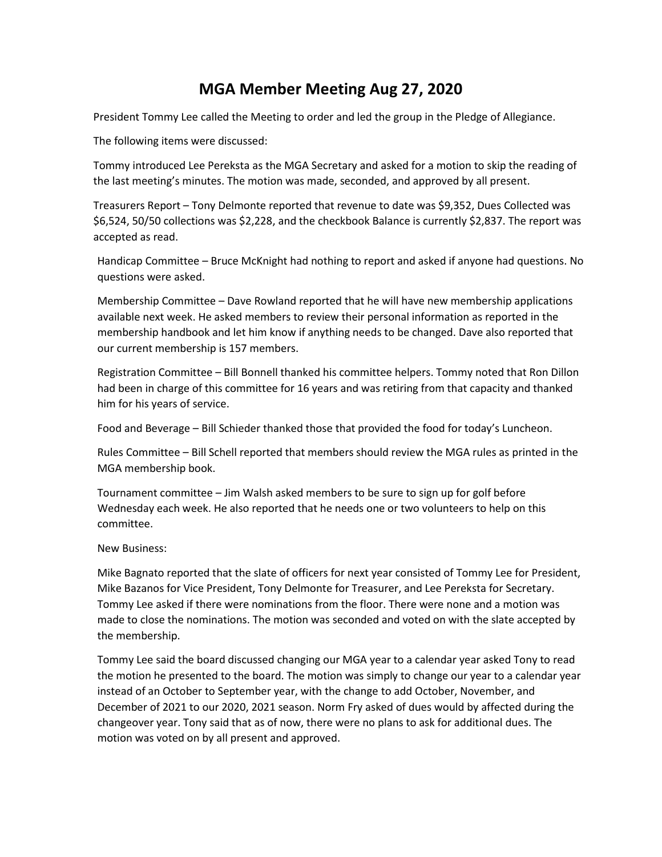## **MGA Member Meeting Aug 27, 2020**

President Tommy Lee called the Meeting to order and led the group in the Pledge of Allegiance.

The following items were discussed:

Tommy introduced Lee Pereksta as the MGA Secretary and asked for a motion to skip the reading of the last meeting's minutes. The motion was made, seconded, and approved by all present.

Treasurers Report – Tony Delmonte reported that revenue to date was \$9,352, Dues Collected was \$6,524, 50/50 collections was \$2,228, and the checkbook Balance is currently \$2,837. The report was accepted as read.

Handicap Committee – Bruce McKnight had nothing to report and asked if anyone had questions. No questions were asked.

Membership Committee – Dave Rowland reported that he will have new membership applications available next week. He asked members to review their personal information as reported in the membership handbook and let him know if anything needs to be changed. Dave also reported that our current membership is 157 members.

Registration Committee – Bill Bonnell thanked his committee helpers. Tommy noted that Ron Dillon had been in charge of this committee for 16 years and was retiring from that capacity and thanked him for his years of service.

Food and Beverage – Bill Schieder thanked those that provided the food for today's Luncheon.

Rules Committee – Bill Schell reported that members should review the MGA rules as printed in the MGA membership book.

Tournament committee – Jim Walsh asked members to be sure to sign up for golf before Wednesday each week. He also reported that he needs one or two volunteers to help on this committee.

## New Business:

Mike Bagnato reported that the slate of officers for next year consisted of Tommy Lee for President, Mike Bazanos for Vice President, Tony Delmonte for Treasurer, and Lee Pereksta for Secretary. Tommy Lee asked if there were nominations from the floor. There were none and a motion was made to close the nominations. The motion was seconded and voted on with the slate accepted by the membership.

Tommy Lee said the board discussed changing our MGA year to a calendar year asked Tony to read the motion he presented to the board. The motion was simply to change our year to a calendar year instead of an October to September year, with the change to add October, November, and December of 2021 to our 2020, 2021 season. Norm Fry asked of dues would by affected during the changeover year. Tony said that as of now, there were no plans to ask for additional dues. The motion was voted on by all present and approved.